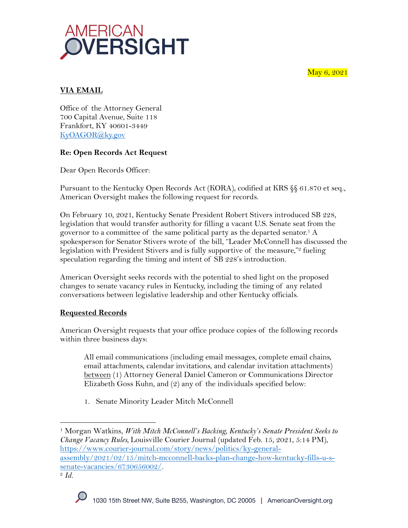May 6, 2021



# **VIA EMAIL**

Office of the Attorney General 700 Capital Avenue, Suite 118 Frankfort, KY 40601-3449 KyOAGOR@ky.gov

### **Re: Open Records Act Request**

Dear Open Records Officer:

Pursuant to the Kentucky Open Records Act (KORA), codified at KRS §§ 61.870 et seq., American Oversight makes the following request for records.

On February 10, 2021, Kentucky Senate President Robert Stivers introduced SB 228, legislation that would transfer authority for filling a vacant U.S. Senate seat from the governor to a committee of the same political party as the departed senator.1 A spokesperson for Senator Stivers wrote of the bill, "Leader McConnell has discussed the legislation with President Stivers and is fully supportive of the measure," fueling speculation regarding the timing and intent of SB 228's introduction.

American Oversight seeks records with the potential to shed light on the proposed changes to senate vacancy rules in Kentucky, including the timing of any related conversations between legislative leadership and other Kentucky officials.

# **Requested Records**

American Oversight requests that your office produce copies of the following records within three business days:

All email communications (including email messages, complete email chains, email attachments, calendar invitations, and calendar invitation attachments) between (1) Attorney General Daniel Cameron or Communications Director Elizabeth Goss Kuhn, and (2) any of the individuals specified below:

1. Senate Minority Leader Mitch McConnell

<sup>1</sup> Morgan Watkins, *With Mitch McConnell's Backing, Kentucky's Senate President Seeks to Change Vacancy Rules,* Louisville Courier Journal (updated Feb. 15, 2021, 5:14 PM), https://www.courier-journal.com/story/news/politics/ky-generalassembly/2021/02/15/mitch-mcconnell-backs-plan-change-how-kentucky-fills-u-ssenate-vacancies/6730656002/. 2 *Id.*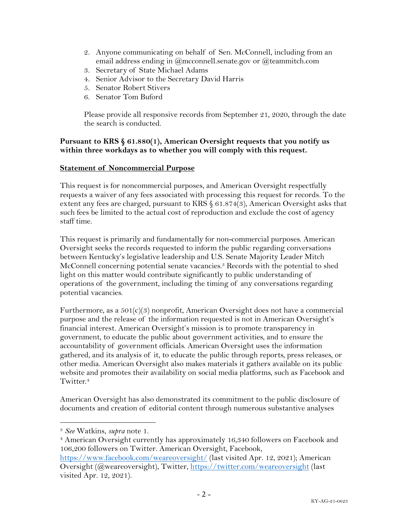- 2. Anyone communicating on behalf of Sen. McConnell, including from an email address ending in @mcconnell.senate.gov or @teammitch.com
- 3. Secretary of State Michael Adams
- 4. Senior Advisor to the Secretary David Harris
- 5. Senator Robert Stivers
- 6. Senator Tom Buford

Please provide all responsive records from September 21, 2020, through the date the search is conducted.

### **Pursuant to KRS § 61.880(1), American Oversight requests that you notify us within three workdays as to whether you will comply with this request.**

#### **Statement of Noncommercial Purpose**

This request is for noncommercial purposes, and American Oversight respectfully requests a waiver of any fees associated with processing this request for records. To the extent any fees are charged, pursuant to KRS § 61.874(3), American Oversight asks that such fees be limited to the actual cost of reproduction and exclude the cost of agency staff time.

This request is primarily and fundamentally for non-commercial purposes. American Oversight seeks the records requested to inform the public regarding conversations between Kentucky's legislative leadership and U.S. Senate Majority Leader Mitch McConnell concerning potential senate vacancies.3 Records with the potential to shed light on this matter would contribute significantly to public understanding of operations of the government, including the timing of any conversations regarding potential vacancies.

Furthermore, as a 501(c)(3) nonprofit, American Oversight does not have a commercial purpose and the release of the information requested is not in American Oversight's financial interest. American Oversight's mission is to promote transparency in government, to educate the public about government activities, and to ensure the accountability of government officials. American Oversight uses the information gathered, and its analysis of it, to educate the public through reports, press releases, or other media. American Oversight also makes materials it gathers available on its public website and promotes their availability on social media platforms, such as Facebook and Twitter.<sup>4</sup>

American Oversight has also demonstrated its commitment to the public disclosure of documents and creation of editorial content through numerous substantive analyses

- <sup>4</sup> American Oversight currently has approximately 16,340 followers on Facebook and 106,200 followers on Twitter. American Oversight, Facebook,
- https://www.facebook.com/weareoversight/ (last visited Apr. 12, 2021); American Oversight (@weareoversight), Twitter, https://twitter.com/weareoversight (last visited Apr. 12, 2021).

<sup>3</sup> *See* Watkins, *supra* note 1.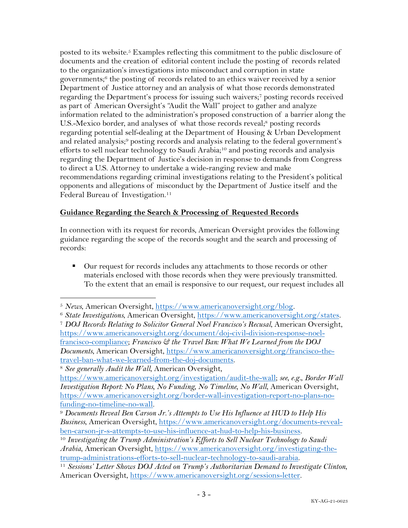posted to its website.5 Examples reflecting this commitment to the public disclosure of documents and the creation of editorial content include the posting of records related to the organization's investigations into misconduct and corruption in state governments; <sup>6</sup> the posting of records related to an ethics waiver received by a senior Department of Justice attorney and an analysis of what those records demonstrated regarding the Department's process for issuing such waivers;7 posting records received as part of American Oversight's "Audit the Wall" project to gather and analyze information related to the administration's proposed construction of a barrier along the U.S.-Mexico border, and analyses of what those records reveal;<sup>8</sup> posting records regarding potential self-dealing at the Department of Housing & Urban Development and related analysis;<sup>9</sup> posting records and analysis relating to the federal government's efforts to sell nuclear technology to Saudi Arabia;<sup>10</sup> and posting records and analysis regarding the Department of Justice's decision in response to demands from Congress to direct a U.S. Attorney to undertake a wide-ranging review and make recommendations regarding criminal investigations relating to the President's political opponents and allegations of misconduct by the Department of Justice itself and the Federal Bureau of Investigation.<sup>11</sup>

## **Guidance Regarding the Search & Processing of Requested Records**

In connection with its request for records, American Oversight provides the following guidance regarding the scope of the records sought and the search and processing of records:

■ Our request for records includes any attachments to those records or other materials enclosed with those records when they were previously transmitted. To the extent that an email is responsive to our request, our request includes all

<sup>5</sup> *News*, American Oversight, https://www.americanoversight.org/blog. 6 *State Investigations*, American Oversight, https://www.americanoversight.org/states. <sup>7</sup> *DOJ Records Relating to Solicitor General Noel Francisco's Recusal*, American Oversight, https://www.americanoversight.org/document/doj-civil-division-response-noelfrancisco-compliance; *Francisco & the Travel Ban: What We Learned from the DOJ Documents*, American Oversight, https://www.americanoversight.org/francisco-thetravel-ban-what-we-learned-from-the-doj-documents.

<sup>8</sup> *See generally Audit the Wall*, American Oversight,

https://www.americanoversight.org/investigation/audit-the-wall; *see, e.g.*, *Border Wall Investigation Report: No Plans, No Funding, No Timeline, No Wall*, American Oversight, https://www.americanoversight.org/border-wall-investigation-report-no-plans-no-

funding-no-timeline-no-wall. 9 *Documents Reveal Ben Carson Jr.'s Attempts to Use His Influence at HUD to Help His Business*, American Oversight, https://www.americanoversight.org/documents-revealben-carson-jr-s-attempts-to-use-his-influence-at-hud-to-help-his-business. 10 *Investigating the Trump Administration's Efforts to Sell Nuclear Technology to Saudi* 

*Arabia*, American Oversight, https://www.americanoversight.org/investigating-thetrump-administrations-efforts-to-sell-nuclear-technology-to-saudi-arabia. 11 *Sessions' Letter Shows DOJ Acted on Trump's Authoritarian Demand to Investigate Clinton*,

American Oversight, https://www.americanoversight.org/sessions-letter.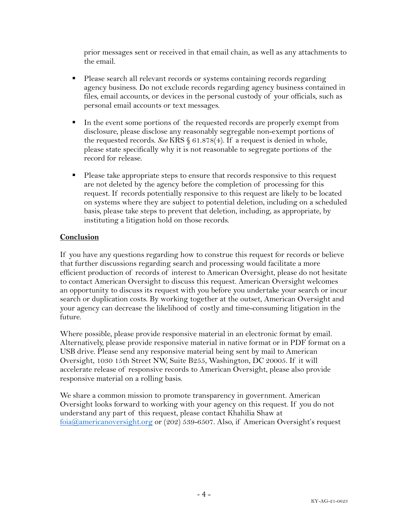prior messages sent or received in that email chain, as well as any attachments to the email.

- Please search all relevant records or systems containing records regarding agency business. Do not exclude records regarding agency business contained in files, email accounts, or devices in the personal custody of your officials, such as personal email accounts or text messages.
- In the event some portions of the requested records are properly exempt from disclosure, please disclose any reasonably segregable non-exempt portions of the requested records. *See* KRS § 61.878(4). If a request is denied in whole, please state specifically why it is not reasonable to segregate portions of the record for release.
- Please take appropriate steps to ensure that records responsive to this request are not deleted by the agency before the completion of processing for this request. If records potentially responsive to this request are likely to be located on systems where they are subject to potential deletion, including on a scheduled basis, please take steps to prevent that deletion, including, as appropriate, by instituting a litigation hold on those records.

### **Conclusion**

If you have any questions regarding how to construe this request for records or believe that further discussions regarding search and processing would facilitate a more efficient production of records of interest to American Oversight, please do not hesitate to contact American Oversight to discuss this request. American Oversight welcomes an opportunity to discuss its request with you before you undertake your search or incur search or duplication costs. By working together at the outset, American Oversight and your agency can decrease the likelihood of costly and time-consuming litigation in the future.

Where possible, please provide responsive material in an electronic format by email. Alternatively, please provide responsive material in native format or in PDF format on a USB drive. Please send any responsive material being sent by mail to American Oversight, 1030 15th Street NW, Suite B255, Washington, DC 20005. If it will accelerate release of responsive records to American Oversight, please also provide responsive material on a rolling basis.

We share a common mission to promote transparency in government. American Oversight looks forward to working with your agency on this request. If you do not understand any part of this request, please contact Khahilia Shaw at foia@americanoversight.org or (202) 539-6507. Also, if American Oversight's request